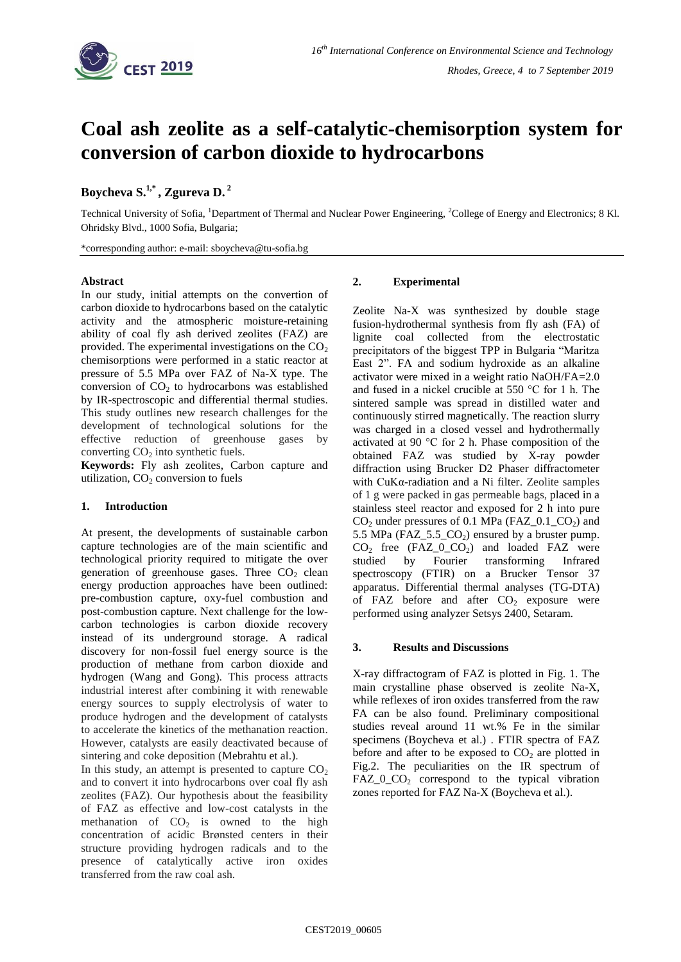

# **Coal ash zeolite as a self-catalytic-chemisorption system for conversion of carbon dioxide to hydrocarbons**

# **Boycheva S. 1,\* , Zgureva D. 2**

Technical University of Sofia, <sup>1</sup>Department of Thermal and Nuclear Power Engineering, <sup>2</sup>College of Energy and Electronics; 8 Kl. Ohridsky Blvd., 1000 Sofia, Bulgaria;

\*corresponding author: e-mail: sboycheva@tu-sofia.bg

#### **Abstract**

In our study, initial attempts on the convertion of carbon dioxide to hydrocarbons based on the catalytic activity and the atmospheric moisture-retaining ability of coal fly ash derived zeolites (FAZ) are provided. The experimental investigations on the  $CO<sub>2</sub>$ chemisorptions were performed in a static reactor at pressure of 5.5 MPa over FAZ of Na-X type. The conversion of  $CO<sub>2</sub>$  to hydrocarbons was established by IR-spectroscopic and differential thermal studies. This study outlines new research challenges for the development of technological solutions for the effective reduction of greenhouse gases by converting  $CO<sub>2</sub>$  into synthetic fuels.

**Keywords:** Fly ash zeolites, Carbon capture and utilization,  $CO<sub>2</sub>$  conversion to fuels

# **1. Introduction**

At present, the developments of sustainable carbon capture technologies are of the main scientific and technological priority required to mitigate the over generation of greenhouse gases. Three  $CO<sub>2</sub>$  clean energy production approaches have been outlined: pre-combustion capture, oxy-fuel combustion and post-combustion capture. Next challenge for the lowcarbon technologies is carbon dioxide recovery instead of its underground storage. A radical discovery for non-fossil fuel energy source is the production of methane from carbon dioxide and hydrogen (Wang and Gong). This process attracts industrial interest after combining it with renewable energy sources to supply electrolysis of water to produce hydrogen and the development of catalysts to accelerate the kinetics of the methanation reaction. However, catalysts are easily deactivated because of sintering and coke deposition (Mebrahtu et al.).

In this study, an attempt is presented to capture  $CO<sub>2</sub>$ and to convert it into hydrocarbons over coal fly ash zeolites (FAZ). Our hypothesis about the feasibility of FAZ as effective and low-cost catalysts in the methanation of  $CO<sub>2</sub>$  is owned to the high concentration of acidic Brønsted centers in their structure providing hydrogen radicals and to the presence of catalytically active iron oxides transferred from the raw coal ash.

# **2. Experimental**

Zeolite Na-X was synthesized by double stage fusion-hydrothermal synthesis from fly ash (FA) of lignite coal collected from the electrostatic precipitators of the biggest TPP in Bulgaria "Maritza East 2". FA and sodium hydroxide as an alkaline activator were mixed in a weight ratio NaOH/FA=2.0 and fused in a nickel crucible at 550 °C for 1 h. The sintered sample was spread in distilled water and continuously stirred magnetically. The reaction slurry was charged in a closed vessel and hydrothermally activated at 90 °C for 2 h. Phase composition of the obtained FAZ was studied by X-ray powder diffraction using Brucker D2 Phaser diffractometer with CuKα-radiation and a Ni filter. Zeolite samples of 1 g were packed in gas permeable bags, placed in a stainless steel reactor and exposed for 2 h into pure  $CO<sub>2</sub>$  under pressures of 0.1 MPa (FAZ\_0.1\_CO<sub>2</sub>) and 5.5 MPa (FAZ 5.5  $CO<sub>2</sub>$ ) ensured by a bruster pump.  $CO<sub>2</sub>$  free (FAZ\_0\_CO<sub>2</sub>) and loaded FAZ were studied by Fourier transforming Infrared spectroscopy (FTIR) on a Brucker Tensor 37 apparatus. Differential thermal analyses (TG-DTA) of FAZ before and after  $CO<sub>2</sub>$  exposure were performed using analyzer Setsys 2400, Setaram.

# **3. Results and Discussions**

X-ray diffractogram of FAZ is plotted in Fig. 1. The main crystalline phase observed is zeolite Na-X, while reflexes of iron oxides transferred from the raw FA can be also found. Preliminary compositional studies reveal around 11 wt.% Fe in the similar specimens (Boycheva et al.) . FTIR spectra of FAZ before and after to be exposed to  $CO<sub>2</sub>$  are plotted in Fig.2. The peculiarities on the IR spectrum of  $FAZ_0_2_2$  correspond to the typical vibration zones reported for FAZ Na-X (Boycheva et al.).